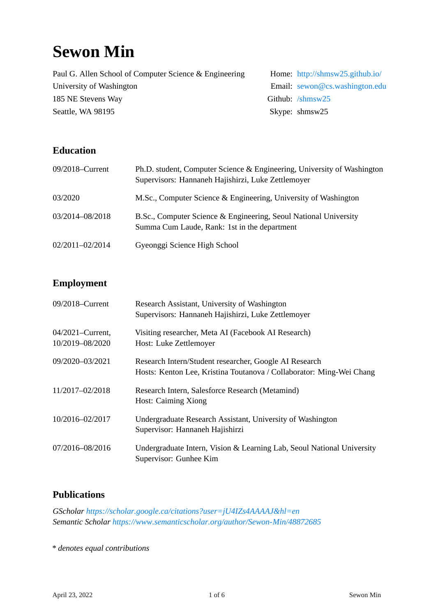# **Sewon Min**

Paul G. Allen School of Computer Science & Engineering Home: <http://shmsw25.github.io/> University of Washington **Email:** [sewon@cs.washington.edu](mailto:sewon@cs.washington.edu) 185 NE Stevens Way Github: [/shmsw25](https://github.com/shmsw25) Seattle, WA 98195 Seattle, WA 98195

# **Education**

| 09/2018–Current | Ph.D. student, Computer Science & Engineering, University of Washington<br>Supervisors: Hannaneh Hajishirzi, Luke Zettlemoyer |
|-----------------|-------------------------------------------------------------------------------------------------------------------------------|
| 03/2020         | M.Sc., Computer Science & Engineering, University of Washington                                                               |
| 03/2014-08/2018 | B.Sc., Computer Science & Engineering, Seoul National University<br>Summa Cum Laude, Rank: 1st in the department              |
| 02/2011-02/2014 | Gyeonggi Science High School                                                                                                  |

## **Employment**

| 09/2018-Current                     | Research Assistant, University of Washington<br>Supervisors: Hannaneh Hajishirzi, Luke Zettlemoyer                             |
|-------------------------------------|--------------------------------------------------------------------------------------------------------------------------------|
| 04/2021–Current,<br>10/2019-08/2020 | Visiting researcher, Meta AI (Facebook AI Research)<br>Host: Luke Zettlemoyer                                                  |
| 09/2020-03/2021                     | Research Intern/Student researcher, Google AI Research<br>Hosts: Kenton Lee, Kristina Toutanova / Collaborator: Ming-Wei Chang |
| 11/2017-02/2018                     | Research Intern, Salesforce Research (Metamind)<br><b>Host: Caiming Xiong</b>                                                  |
| 10/2016-02/2017                     | Undergraduate Research Assistant, University of Washington<br>Supervisor: Hannaneh Hajishirzi                                  |
| 07/2016-08/2016                     | Undergraduate Intern, Vision & Learning Lab, Seoul National University<br>Supervisor: Gunhee Kim                               |

# **Publications**

*GScholar <https://scholar.google.ca/citations?user=jU4IZs4AAAAJ&hl=en> Semantic Scholar <https://www.semanticscholar.org/author/Sewon-Min/48872685>*

*\* denotes equal contributions*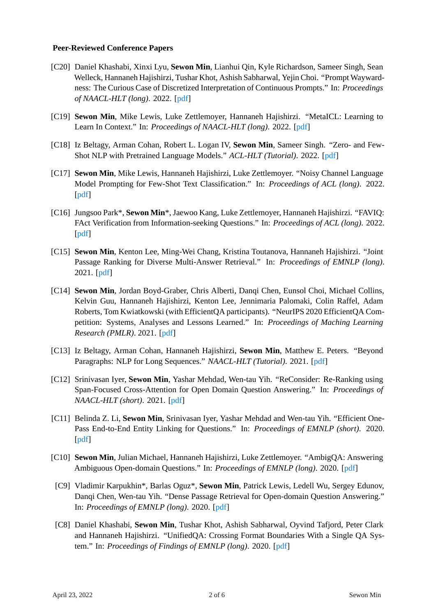#### **Peer-Reviewed Conference Papers**

- [C20] Daniel Khashabi, Xinxi Lyu, **Sewon Min**, Lianhui Qin, Kyle Richardson, Sameer Singh, Sean Welleck, Hannaneh Hajishirzi, Tushar Khot, Ashish Sabharwal, Yejin Choi. "Prompt Waywardness: The Curious Case of Discretized Interpretation of Continuous Prompts." In: *Proceedings of NAACL-HLT (long)*. 2022.[[pdf\]](https://arxiv.org/abs/2112.08348)
- [C19] **Sewon Min**, Mike Lewis, Luke Zettlemoyer, Hannaneh Hajishirzi. "MetaICL: Learning to Learn In Context." In: *Proceedings of NAACL-HLT (long)*. 2022.[[pdf\]](https://arxiv.org/abs/2110.15943)
- [C18] Iz Beltagy, Arman Cohan, Robert L. Logan IV, **Sewon Min**, Sameer Singh. "Zero- and Few-Shot NLP with Pretrained Language Models." *ACL-HLT (Tutorial)*. 2022.[[pdf\]](http://github.com/allenai/acl2022-zerofewshot-tutorial)
- [C17] **Sewon Min**, Mike Lewis, Hannaneh Hajishirzi, Luke Zettlemoyer. "Noisy Channel Language Model Prompting for Few-Shot Text Classification." In: *Proceedings of ACL (long)*. 2022. [[pdf\]](https://arxiv.org/abs/2108.04106)
- [C16] Jungsoo Park\*, **Sewon Min**\*, Jaewoo Kang, Luke Zettlemoyer, Hannaneh Hajishirzi. "FAVIQ: FAct Verification from Information-seeking Questions." In: *Proceedings of ACL (long)*. 2022. [[pdf\]](https://arxiv.org/abs/2107.02153)
- [C15] **Sewon Min**, Kenton Lee, Ming-Wei Chang, Kristina Toutanova, Hannaneh Hajishirzi. "Joint Passage Ranking for Diverse Multi-Answer Retrieval." In: *Proceedings of EMNLP (long)*. 2021.[[pdf\]](https://arxiv.org/abs/2104.08445)
- [C14] **Sewon Min**, Jordan Boyd-Graber, Chris Alberti, Danqi Chen, Eunsol Choi, Michael Collins, Kelvin Guu, Hannaneh Hajishirzi, Kenton Lee, Jennimaria Palomaki, Colin Raffel, Adam Roberts, Tom Kwiatkowski (with EfficientQA participants). "NeurIPS 2020 EfficientQA Competition: Systems, Analyses and Lessons Learned." In: *Proceedings of Maching Learning Research (PMLR)*. 2021. [\[pdf](https://shmsw25.github.io/assets/papers/efficientqa.pdf)]
- [C13] Iz Beltagy, Arman Cohan, Hannaneh Hajishirzi, **Sewon Min**, Matthew E. Peters. "Beyond Paragraphs: NLP for Long Sequences." *NAACL-HLT (Tutorial)*. 2021.[[pdf\]](https://github.com/allenai/naacl2021-longdoc-tutorial)
- [C12] Srinivasan Iyer, **Sewon Min**, Yashar Mehdad, Wen-tau Yih. "ReConsider: Re-Ranking using Span-Focused Cross-Attention for Open Domain Question Answering." In: *Proceedings of NAACL-HLT (short)*. 2021.[[pdf\]](https://arxiv.org/abs/2010.10757)
- [C11] Belinda Z. Li, **Sewon Min**, Srinivasan Iyer, Yashar Mehdad and Wen-tau Yih. "Efficient One-Pass End-to-End Entity Linking for Questions." In: *Proceedings of EMNLP (short)*. 2020. [[pdf\]](https://arxiv.org/abs/2010.02413)
- [C10] **Sewon Min**, Julian Michael, Hannaneh Hajishirzi, Luke Zettlemoyer. "AmbigQA: Answering Ambiguous Open-domain Questions." In: *Proceedings of EMNLP (long)*. 2020. [\[pdf](https://arxiv.org/abs/2004.10645)]
- [C9] Vladimir Karpukhin\*, Barlas Oguz\*, **Sewon Min**, Patrick Lewis, Ledell Wu, Sergey Edunov, Danqi Chen, Wen-tau Yih. "Dense Passage Retrieval for Open-domain Question Answering." In: *Proceedings of EMNLP (long)*. 2020. [\[pdf](https://arxiv.org/abs/2004.04906)]
- [C8] Daniel Khashabi, **Sewon Min**, Tushar Khot, Ashish Sabharwal, Oyvind Tafjord, Peter Clark and Hannaneh Hajishirzi. "UnifiedQA: Crossing Format Boundaries With a Single QA System." In: *Proceedings of Findings of EMNLP (long)*. 2020. [\[pdf](https://arxiv.org/abs/2005.00700)]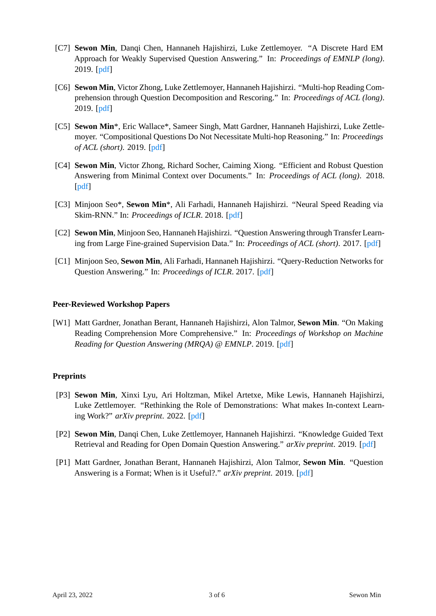- [C7] **Sewon Min**, Danqi Chen, Hannaneh Hajishirzi, Luke Zettlemoyer. "A Discrete Hard EM Approach for Weakly Supervised Question Answering." In: *Proceedings of EMNLP (long)*. 2019.[[pdf\]](https://arxiv.org/abs/1909.04849)
- [C6] **Sewon Min**, Victor Zhong, Luke Zettlemoyer, Hannaneh Hajishirzi. "Multi-hop Reading Comprehension through Question Decomposition and Rescoring." In: *Proceedings of ACL (long)*. 2019.[[pdf\]](https://arxiv.org/abs/1906.02916)
- [C5] **Sewon Min**\*, Eric Wallace\*, Sameer Singh, Matt Gardner, Hannaneh Hajishirzi, Luke Zettlemoyer. "Compositional Questions Do Not Necessitate Multi-hop Reasoning." In: *Proceedings of ACL (short)*. 2019.[[pdf\]](https://arxiv.org/abs/1906.02900)
- [C4] **Sewon Min**, Victor Zhong, Richard Socher, Caiming Xiong. "Efficient and Robust Question Answering from Minimal Context over Documents." In: *Proceedings of ACL (long)*. 2018. [[pdf\]](http://arxiv.org/abs/1805.08092)
- [C3] Minjoon Seo\*, **Sewon Min**\*, Ali Farhadi, Hannaneh Hajishirzi. "Neural Speed Reading via Skim-RNN." In: *Proceedings of ICLR*. 2018.[[pdf\]](https://arxiv.org/abs/1711.02085)
- [C2] **Sewon Min**, Minjoon Seo, Hannaneh Hajishirzi. "Question Answering through Transfer Learning from Large Fine-grained Supervision Data." In: *Proceedings of ACL (short)*. 2017. [\[pdf](https://arxiv.org/abs/1702.02171)]
- [C1] Minjoon Seo, **Sewon Min**, Ali Farhadi, Hannaneh Hajishirzi. "Query-Reduction Networks for Question Answering." In: *Proceedings of ICLR*. 2017.[[pdf\]](https://arxiv.org/abs/1606.04582)

#### **Peer-Reviewed Workshop Papers**

[W1] Matt Gardner, Jonathan Berant, Hannaneh Hajishirzi, Alon Talmor, **Sewon Min**. "On Making Reading Comprehension More Comprehensive." In: *Proceedings of Workshop on Machine Reading for Question Answering (MRQA) @ EMNLP*. 2019.[[pdf\]](https://aclanthology.org/D19-5815.pdf)

#### **Preprints**

- [P3] **Sewon Min**, Xinxi Lyu, Ari Holtzman, Mikel Artetxe, Mike Lewis, Hannaneh Hajishirzi, Luke Zettlemoyer. "Rethinking the Role of Demonstrations: What makes In-context Learning Work?" *arXiv preprint*. 2022.[[pdf\]](https://arxiv.org/abs/2202.12837)
- [P2] **Sewon Min**, Danqi Chen, Luke Zettlemoyer, Hannaneh Hajishirzi. "Knowledge Guided Text Retrieval and Reading for Open Domain Question Answering." *arXiv preprint*. 2019.[[pdf\]](https://arxiv.org/abs/1911.03868)
- [P1] Matt Gardner, Jonathan Berant, Hannaneh Hajishirzi, Alon Talmor, **Sewon Min**. "Question Answering is a Format; When is it Useful?." *arXiv preprint*. 2019.[[pdf\]](https://arxiv.org/abs/1909.11291)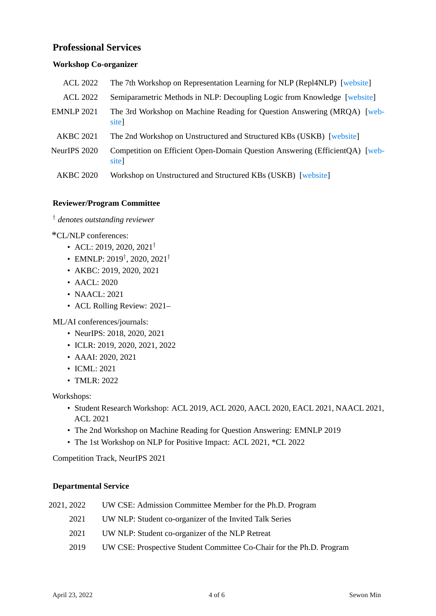# **Professional Services**

#### **Workshop Co-organizer**

| <b>ACL 2022</b>   | The 7th Workshop on Representation Learning for NLP (Repl4NLP) [website]             |
|-------------------|--------------------------------------------------------------------------------------|
| <b>ACL 2022</b>   | Semiparametric Methods in NLP: Decoupling Logic from Knowledge [website]             |
| <b>EMNLP 2021</b> | The 3rd Workshop on Machine Reading for Question Answering (MRQA) [web-<br>site]     |
| <b>AKBC 2021</b>  | The 2nd Workshop on Unstructured and Structured KBs (USKB) [website]                 |
| NeurIPS 2020      | Competition on Efficient Open-Domain Question Answering (EfficientQA) [web-<br>site] |
| <b>AKBC 2020</b>  | Workshop on Unstructured and Structured KBs (USKB) [website]                         |

#### **Reviewer/Program Committee**

*† denotes outstanding reviewer*

\*CL/NLP conferences:

- ACL: 2019, 2020, 2021*†*
- EMNLP: 2019*†* , 2020, 2021*†*
- AKBC: 2019, 2020, 2021
- AACL: 2020
- NAACL: 2021
- ACL Rolling Review: 2021–

ML/AI conferences/journals:

- NeurIPS: 2018, 2020, 2021
- ICLR: 2019, 2020, 2021, 2022
- AAAI: 2020, 2021
- ICML: 2021
- TMLR: 2022

Workshops:

- Student Research Workshop: ACL 2019, ACL 2020, AACL 2020, EACL 2021, NAACL 2021, ACL 2021
- The 2nd Workshop on Machine Reading for Question Answering: EMNLP 2019
- The 1st Workshop on NLP for Positive Impact: ACL 2021, \*CL 2022

Competition Track, NeurIPS 2021

#### **Departmental Service**

| 2021, 2022 | UW CSE: Admission Committee Member for the Ph.D. Program |
|------------|----------------------------------------------------------|
| 2021       | UW NLP: Student co-organizer of the Invited Talk Series  |
| 2021       | UW NLP: Student co-organizer of the NLP Retreat          |

2019 UW CSE: Prospective Student Committee Co-Chair for the Ph.D. Program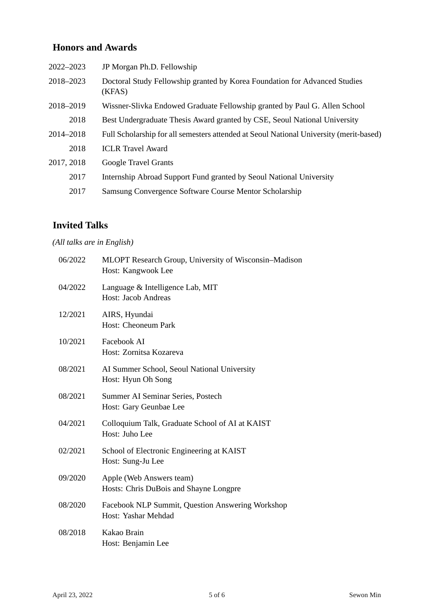# **Honors and Awards**

| 2022-2023  | JP Morgan Ph.D. Fellowship                                                             |
|------------|----------------------------------------------------------------------------------------|
| 2018-2023  | Doctoral Study Fellowship granted by Korea Foundation for Advanced Studies<br>(KFAS)   |
| 2018–2019  | Wissner-Slivka Endowed Graduate Fellowship granted by Paul G. Allen School             |
| 2018       | Best Undergraduate Thesis Award granted by CSE, Seoul National University              |
| 2014-2018  | Full Scholarship for all semesters attended at Seoul National University (merit-based) |
| 2018       | <b>ICLR</b> Travel Award                                                               |
| 2017, 2018 | <b>Google Travel Grants</b>                                                            |
| 2017       | Internship Abroad Support Fund granted by Seoul National University                    |
| 2017       | Samsung Convergence Software Course Mentor Scholarship                                 |

# **Invited Talks**

# *(All talks are in English)*

| 06/2022 | MLOPT Research Group, University of Wisconsin-Madison<br>Host: Kangwook Lee |
|---------|-----------------------------------------------------------------------------|
| 04/2022 | Language & Intelligence Lab, MIT<br><b>Host: Jacob Andreas</b>              |
| 12/2021 | AIRS, Hyundai<br>Host: Cheoneum Park                                        |
| 10/2021 | Facebook AI<br>Host: Zornitsa Kozareva                                      |
| 08/2021 | AI Summer School, Seoul National University<br>Host: Hyun Oh Song           |
| 08/2021 | Summer AI Seminar Series, Postech<br>Host: Gary Geunbae Lee                 |
| 04/2021 | Colloquium Talk, Graduate School of AI at KAIST<br>Host: Juho Lee           |
| 02/2021 | School of Electronic Engineering at KAIST<br>Host: Sung-Ju Lee              |
| 09/2020 | Apple (Web Answers team)<br>Hosts: Chris DuBois and Shayne Longpre          |
| 08/2020 | Facebook NLP Summit, Question Answering Workshop<br>Host: Yashar Mehdad     |
| 08/2018 | Kakao Brain<br>Host: Benjamin Lee                                           |